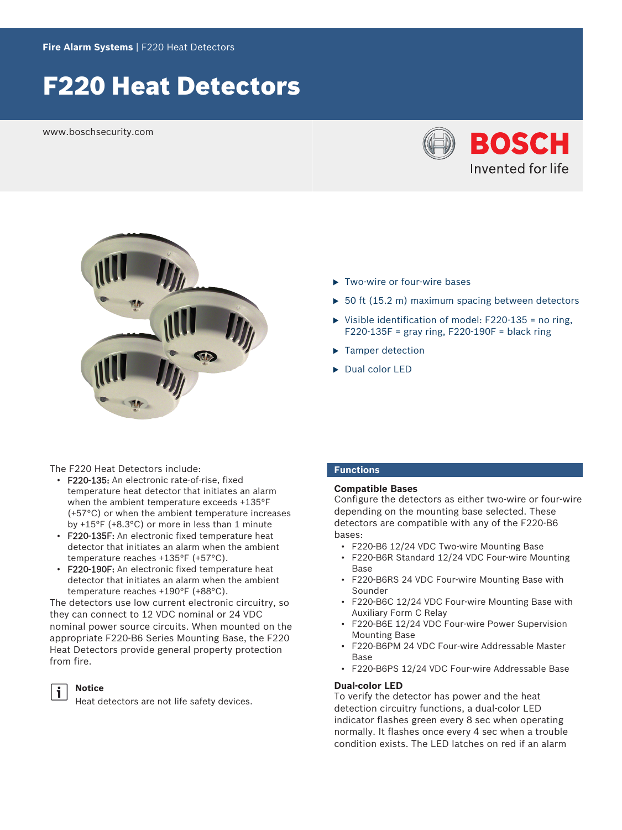# F220 Heat Detectors

www.boschsecurity.com





- $\blacktriangleright$  Two-wire or four-wire bases
- $\triangleright$  50 ft (15.2 m) maximum spacing between detectors
- $\triangleright$  Visible identification of model: F220-135 = no ring,  $F220-135F$  = gray ring,  $F220-190F$  = black ring
- $\blacktriangleright$  Tamper detection
- $\triangleright$  Dual color LED

The F220 Heat Detectors include:

- F220-135: An electronic rate-of-rise, fixed temperature heat detector that initiates an alarm when the ambient temperature exceeds +135°F (+57°C) or when the ambient temperature increases by +15°F (+8.3°C) or more in less than 1 minute
- F220-135F: An electronic fixed temperature heat detector that initiates an alarm when the ambient temperature reaches +135°F (+57°C).
- F220-190F: An electronic fixed temperature heat detector that initiates an alarm when the ambient temperature reaches +190°F (+88°C).

The detectors use low current electronic circuitry, so they can connect to 12 VDC nominal or 24 VDC nominal power source circuits. When mounted on the appropriate F220‑B6 Series Mounting Base, the F220 Heat Detectors provide general property protection from fire.



#### **Notice**

Heat detectors are not life safety devices.

# **Functions**

# **Compatible Bases**

Configure the detectors as either two-wire or four-wire depending on the mounting base selected. These detectors are compatible with any of the F220‑B6 bases:

- F220‑B6 12/24 VDC Two-wire Mounting Base
- F220‑B6R Standard 12/24 VDC Four-wire Mounting **Base**
- F220‑B6RS 24 VDC Four-wire Mounting Base with Sounder
- F220‑B6C 12/24 VDC Four-wire Mounting Base with Auxiliary Form C Relay
- F220‑B6E 12/24 VDC Four-wire Power Supervision Mounting Base
- F220‑B6PM 24 VDC Four-wire Addressable Master Base
- F220‑B6PS 12/24 VDC Four-wire Addressable Base

#### **Dual-color LED**

To verify the detector has power and the heat detection circuitry functions, a dual-color LED indicator flashes green every 8 sec when operating normally. It flashes once every 4 sec when a trouble condition exists. The LED latches on red if an alarm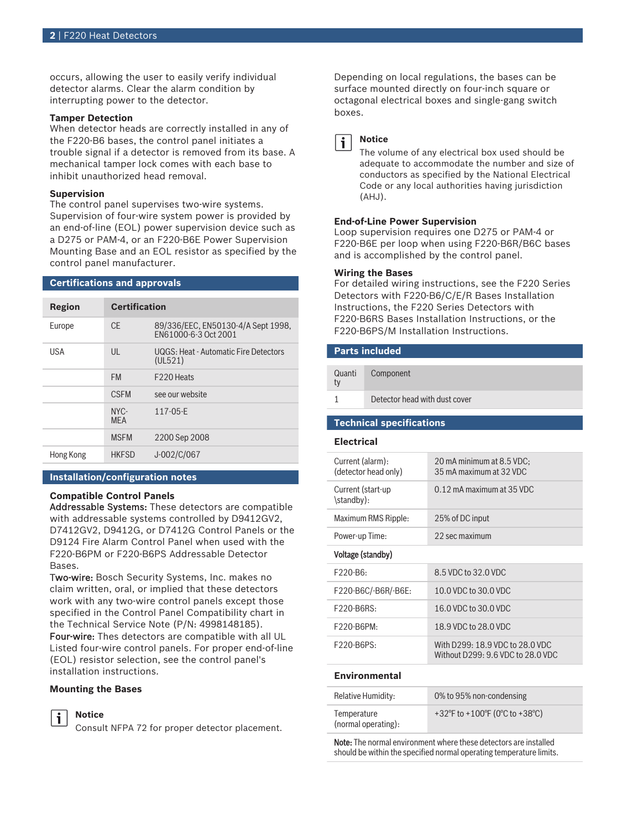occurs, allowing the user to easily verify individual detector alarms. Clear the alarm condition by interrupting power to the detector.

#### **Tamper Detection**

When detector heads are correctly installed in any of the F220‑B6 bases, the control panel initiates a trouble signal if a detector is removed from its base. A mechanical tamper lock comes with each base to inhibit unauthorized head removal.

#### **Supervision**

The control panel supervises two-wire systems. Supervision of four-wire system power is provided by an end-of-line (EOL) power supervision device such as a D275 or PAM-4, or an F220‑B6E Power Supervision Mounting Base and an EOL resistor as specified by the control panel manufacturer.

#### **Certifications and approvals**

| Region     | <b>Certification</b> |                                                            |
|------------|----------------------|------------------------------------------------------------|
| Europe     | CF.                  | 89/336/EEC, EN50130-4/A Sept 1998,<br>EN61000-6-3 Oct 2001 |
| <b>USA</b> | $\mathsf{U}$         | UQGS: Heat - Automatic Fire Detectors<br>(UL521)           |
|            | <b>FM</b>            | F <sub>220</sub> Heats                                     |
|            | <b>CSFM</b>          | see our website                                            |
|            | NYC-<br><b>MFA</b>   | $117 - 05 - F$                                             |
|            | <b>MSFM</b>          | 2200 Sep 2008                                              |
| Hong Kong  | <b>HKFSD</b>         | J-002/C/067                                                |

# **Installation/configuration notes**

#### **Compatible Control Panels**

Addressable Systems: These detectors are compatible with addressable systems controlled by D9412GV2, D7412GV2, D9412G, or D7412G Control Panels or the D9124 Fire Alarm Control Panel when used with the F220‑B6PM or F220‑B6PS Addressable Detector Bases.

Two-wire: Bosch Security Systems, Inc. makes no claim written, oral, or implied that these detectors work with any two-wire control panels except those specified in the Control Panel Compatibility chart in the Technical Service Note (P/N: 4998148185). Four-wire: Thes detectors are compatible with all UL Listed four‑wire control panels. For proper end-of-line (EOL) resistor selection, see the control panel's installation instructions.

#### **Mounting the Bases**

**Notice**



Consult NFPA 72 for proper detector placement.

Depending on local regulations, the bases can be surface mounted directly on four-inch square or octagonal electrical boxes and single-gang switch boxes.



# **Notice**

The volume of any electrical box used should be adequate to accommodate the number and size of conductors as specified by the National Electrical Code or any local authorities having jurisdiction (AHJ).

#### **End-of-Line Power Supervision**

Loop supervision requires one D275 or PAM-4 or F220‑B6E per loop when using F220‑B6R/B6C bases and is accomplished by the control panel.

#### **Wiring the Bases**

For detailed wiring instructions, see the F220 Series Detectors with F220‑B6/C/E/R Bases Installation Instructions, the F220 Series Detectors with F220‑B6RS Bases Installation Instructions, or the F220‑B6PS/M Installation Instructions.

#### **Parts included**

| Quanti | Component                     |
|--------|-------------------------------|
|        | Detector head with dust cover |

#### **Technical specifications**

#### **Electrical**

| Current (alarm):<br>(detector head only) | 20 mA minimum at 8.5 VDC;<br>35 mA maximum at 32 VDC                 |  |
|------------------------------------------|----------------------------------------------------------------------|--|
| Current (start-up<br>\standby):          | 0.12 mA maximum at 35 VDC                                            |  |
| Maximum RMS Ripple:                      | 25% of DC input                                                      |  |
| Power-up Time:                           | 22 sec maximum                                                       |  |
| Voltage (standby)                        |                                                                      |  |
| F220-B6:                                 | 8.5 VDC to 32.0 VDC                                                  |  |
| F220-B6C/-B6R/-B6E:                      | 10.0 VDC to 30.0 VDC                                                 |  |
| F220-B6RS:                               | 16.0 VDC to 30.0 VDC                                                 |  |
| $F220 - B6PM$                            | 18.9 VDC to 28.0 VDC                                                 |  |
| F220-B6PS:                               | With D299: 18.9 VDC to 28.0 VDC<br>Without D299: 9.6 VDC to 28.0 VDC |  |
|                                          |                                                                      |  |

### **Environmental**

| Relative Humidity:                 | 0% to 95% non-condensing       |
|------------------------------------|--------------------------------|
| Temperature<br>(normal operating): | +32°F to +100°F (0°C to +38°C) |

Note: The normal environment where these detectors are installed should be within the specified normal operating temperature limits.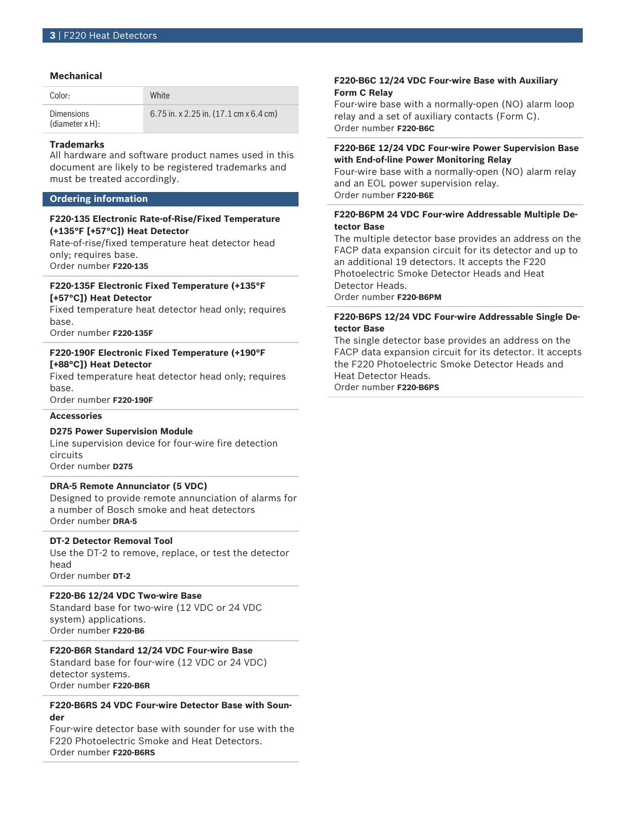### **Mechanical**

| Color:                               | <b>White</b>                                                  |
|--------------------------------------|---------------------------------------------------------------|
| <b>Dimensions</b><br>(diameter x H): | 6.75 in. x 2.25 in. $(17.1 \text{ cm} \times 6.4 \text{ cm})$ |

#### **Trademarks**

All hardware and software product names used in this document are likely to be registered trademarks and must be treated accordingly.

#### **Ordering information**

# **F220‑135 Electronic Rate‑of‑Rise/Fixed Temperature (+135°F [+57°C]) Heat Detector**

Rate-of-rise/fixed temperature heat detector head only; requires base. Order number **F220-135**

# **F220‑135F Electronic Fixed Temperature (+135°F [+57°C]) Heat Detector**

Fixed temperature heat detector head only; requires base.

Order number **F220-135F**

# **F220‑190F Electronic Fixed Temperature (+190°F [+88°C]) Heat Detector**

Fixed temperature heat detector head only; requires base.

Order number **F220-190F**

# **Accessories**

# **D275 Power Supervision Module**

Line supervision device for four-wire fire detection circuits

Order number **D275**

# **DRA‑5 Remote Annunciator (5 VDC)**

Designed to provide remote annunciation of alarms for a number of Bosch smoke and heat detectors Order number **DRA-5**

# **DT‑2 Detector Removal Tool**

Use the DT‑2 to remove, replace, or test the detector head Order number **DT-2**

# **F220‑B6 12/24 VDC Two‑wire Base**

Standard base for two‑wire (12 VDC or 24 VDC system) applications. Order number **F220-B6**

# **F220‑B6R Standard 12/24 VDC Four‑wire Base**

Standard base for four‑wire (12 VDC or 24 VDC) detector systems. Order number **F220-B6R**

### **F220‑B6RS 24 VDC Four‑wire Detector Base with Sounder**

Four-wire detector base with sounder for use with the F220 Photoelectric Smoke and Heat Detectors. Order number **F220-B6RS**

# **F220‑B6C 12/24 VDC Four‑wire Base with Auxiliary Form C Relay**

Four‑wire base with a normally‑open (NO) alarm loop relay and a set of auxiliary contacts (Form C). Order number **F220-B6C**

# **F220‑B6E 12/24 VDC Four‑wire Power Supervision Base with End‑of‑line Power Monitoring Relay**

Four‑wire base with a normally‑open (NO) alarm relay and an EOL power supervision relay. Order number **F220-B6E**

# **F220‑B6PM 24 VDC Four‑wire Addressable Multiple Detector Base**

The multiple detector base provides an address on the FACP data expansion circuit for its detector and up to an additional 19 detectors. It accepts the F220 Photoelectric Smoke Detector Heads and Heat Detector Heads. Order number **F220-B6PM**

# **F220‑B6PS 12/24 VDC Four‑wire Addressable Single Detector Base**

The single detector base provides an address on the FACP data expansion circuit for its detector. It accepts the F220 Photoelectric Smoke Detector Heads and Heat Detector Heads.

Order number **F220-B6PS**